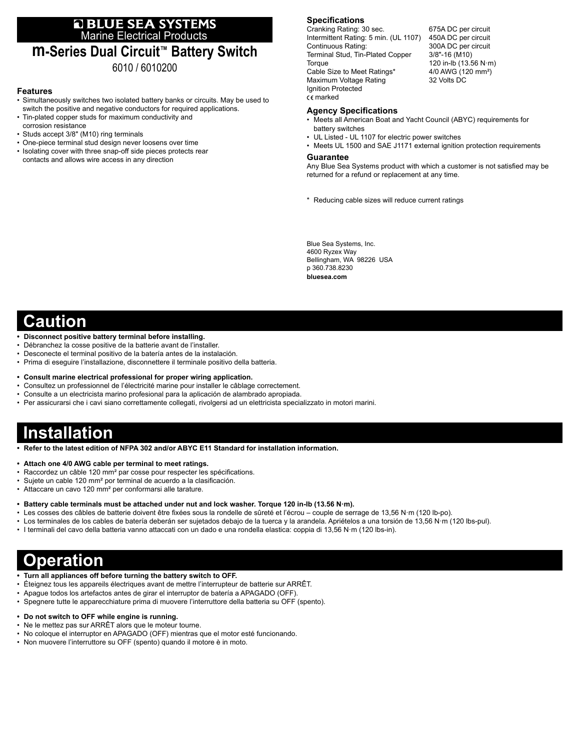# **E BLUE SEA SYSTEMS**<br>Marine Electrical Products

### **m-Series Dual Circuit™ Battery Switch** 6010 / 6010200

#### **Features**

- Simultaneously switches two isolated battery banks or circuits. May be used to switch the positive and negative conductors for required applications.
- Tin-plated copper studs for maximum conductivity and
- corrosion resistance
- Studs accept 3/8" (M10) ring terminals
- One-piece terminal stud design never loosens over time
- Isolating cover with three snap-off side pieces protects rear contacts and allows wire access in any direction

#### **Specifications**

Cranking Rating: 30 sec. 675A DC per circuit<br>Intermittent Rating: 5 min. (UL 1107) 450A DC per circuit Intermittent Rating: 5 min. (UL 1107) Continuous Rating: 300A DC per circuit Terminal Stud, Tin-Plated Copper 3/8"-16 (M10) Torque 120 in-lb (13.56 N·m)<br>Cable Size to Meet Ratings\* 4/0 AWG (120 mm<sup>2</sup>) Cable Size to Meet Ratings\* 4/0 AWG (12<br>Maximum Voltage Rating 32 Volts DC Maximum Voltage Rating Ignition Protected marked

#### **Agency Specifications**

- Meets all American Boat and Yacht Council (ABYC) requirements for battery switches
- UL Listed UL 1107 for electric power switches
- Meets UL 1500 and SAE J1171 external ignition protection requirements

#### **Guarantee**

Any Blue Sea Systems product with which a customer is not satisfied may be returned for a refund or replacement at any time.

\* Reducing cable sizes will reduce current ratings

Blue Sea Systems, Inc. 4600 Ryzex Way Bellingham, WA 98226 USA p 360.738.8230 **bluesea.com**

### **Caution**

- **• Disconnect positive battery terminal before installing.**
- Débranchez la cosse positive de la batterie avant de l'installer.
- Desconecte el terminal positivo de la batería antes de la instalación.
- Prima di eseguire l'installazione, disconnettere il terminale positivo della batteria.
- **• Consult marine electrical professional for proper wiring application.**
- Consultez un professionnel de l'électricité marine pour installer le câblage correctement.
- Consulte a un electricista marino profesional para la aplicación de alambrado apropiada.
- Per assicurarsi che i cavi siano correttamente collegati, rivolgersi ad un elettricista specializzato in motori marini.

## **Installation**

- **• Refer to the latest edition of NFPA 302 and/or ABYC E11 Standard for installation information.**
- **• Attach one 4/0 AWG cable per terminal to meet ratings.**
- Raccordez un câble 120 mm² par cosse pour respecter les spécifications.
- Sujete un cable 120 mm² por terminal de acuerdo a la clasificación.
- Attaccare un cavo 120 mm² per conformarsi alle tarature.
- **• Battery cable terminals must be attached under nut and lock washer. Torque 120 in-lb (13.56 N·m).**
- Les cosses des câbles de batterie doivent être fixées sous la rondelle de sûreté et l'écrou couple de serrage de 13,56 N·m (120 lb-po).
- Los terminales de los cables de batería deberán ser sujetados debajo de la tuerca y la arandela. Apriételos a una torsión de 13,56 N·m (120 lbs-pul).
- I terminali del cavo della batteria vanno attaccati con un dado e una rondella elastica: coppia di 13,56 N·m (120 lbs-in).

## **Operation**

- **• Turn all appliances off before turning the battery switch to OFF.**
- Éteignez tous les appareils électriques avant de mettre l'interrupteur de batterie sur ARRÊT.
- Apague todos los artefactos antes de girar el interruptor de batería a APAGADO (OFF).
- Spegnere tutte le apparecchiature prima di muovere l'interruttore della batteria su OFF (spento).

#### **• Do not switch to OFF while engine is running.**

- Ne le mettez pas sur ARRÊT alors que le moteur tourne.
- No coloque el interruptor en APAGADO (OFF) mientras que el motor esté funcionando.
- Non muovere l'interruttore su OFF (spento) quando il motore è in moto.